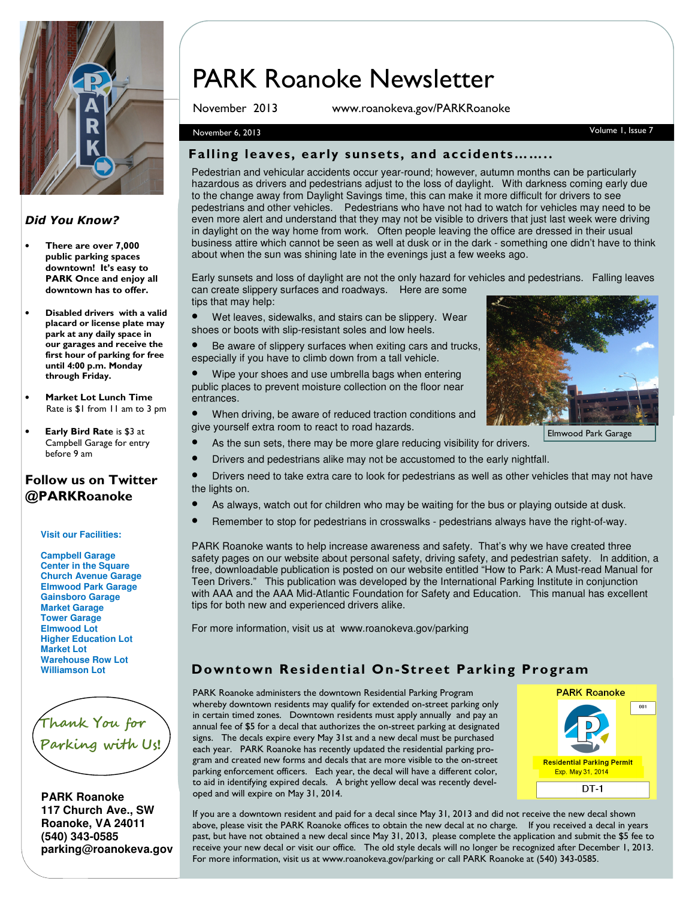

#### Did You Know?

- There are over 7,000 public parking spaces downtown! It's easy to PARK Once and enjoy all downtown has to offer.
- Disabled drivers with a valid placard or license plate may park at any daily space in our garages and receive the first hour of parking for free until 4:00 p.m. Monday through Friday.
- Market Lot Lunch Time Rate is \$1 from 11 am to 3 pm
- Early Bird Rate is \$3 at Campbell Garage for entry before 9 am

### Follow us on Twitter @PARKRoanoke

#### **Visit our Facilities:**

**Campbell Garage Center in the Square Church Avenue Garage Elmwood Park Garage Gainsboro Garage Market Garage Tower Garage Elmwood Lot Higher Education Lot Market Lot Warehouse Row Lot Williamson Lot**



**PARK Roanoke 117 Church Ave., SW Roanoke, VA 24011 (540) 343-0585 parking@roanokeva.gov** 

# PARK Roanoke Newsletter

November 2013 www.roanokeva.gov/PARKRoanoke

#### November 6, 2013 Volume 1, Issue 7

#### Falling leaves, early sunsets, and accidents……..

Pedestrian and vehicular accidents occur year-round; however, autumn months can be particularly hazardous as drivers and pedestrians adjust to the loss of daylight. With darkness coming early due to the change away from Daylight Savings time, this can make it more difficult for drivers to see pedestrians and other vehicles. Pedestrians who have not had to watch for vehicles may need to be even more alert and understand that they may not be visible to drivers that just last week were driving in daylight on the way home from work. Often people leaving the office are dressed in their usual business attire which cannot be seen as well at dusk or in the dark - something one didn't have to think about when the sun was shining late in the evenings just a few weeks ago.

Early sunsets and loss of daylight are not the only hazard for vehicles and pedestrians. Falling leaves can create slippery surfaces and roadways. Here are some tips that may help:

- Wet leaves, sidewalks, and stairs can be slippery. Wear shoes or boots with slip-resistant soles and low heels.
- Be aware of slippery surfaces when exiting cars and trucks, especially if you have to climb down from a tall vehicle.
- Wipe your shoes and use umbrella bags when entering public places to prevent moisture collection on the floor near entrances.
- When driving, be aware of reduced traction conditions and give yourself extra room to react to road hazards.
- - Elmwood Park Garage
- As the sun sets, there may be more glare reducing visibility for drivers.
- Drivers and pedestrians alike may not be accustomed to the early nightfall.
- Drivers need to take extra care to look for pedestrians as well as other vehicles that may not have the lights on.
- As always, watch out for children who may be waiting for the bus or playing outside at dusk.
- Remember to stop for pedestrians in crosswalks pedestrians always have the right-of-way.

PARK Roanoke wants to help increase awareness and safety. That's why we have created three safety pages on our website about personal safety, driving safety, and pedestrian safety. In addition, a free, downloadable publication is posted on our website entitled "How to Park: A Must-read Manual for Teen Drivers." This publication was developed by the International Parking Institute in conjunction with AAA and the AAA Mid-Atlantic Foundation for Safety and Education. This manual has excellent tips for both new and experienced drivers alike.

For more information, visit us at www.roanokeva.gov/parking

## Downtown Residential On-Street Parking Program

PARK Roanoke administers the downtown Residential Parking Program whereby downtown residents may qualify for extended on-street parking only in certain timed zones. Downtown residents must apply annually and pay an annual fee of \$5 for a decal that authorizes the on-street parking at designated signs. The decals expire every May 31st and a new decal must be purchased each year. PARK Roanoke has recently updated the residential parking program and created new forms and decals that are more visible to the on-street parking enforcement officers. Each year, the decal will have a different color, to aid in identifying expired decals. A bright yellow decal was recently developed and will expire on May 31, 2014.



If you are a downtown resident and paid for a decal since May 31, 2013 and did not receive the new decal shown above, please visit the PARK Roanoke offices to obtain the new decal at no charge. If you received a decal in years past, but have not obtained a new decal since May 31, 2013, please complete the application and submit the \$5 fee to receive your new decal or visit our office. The old style decals will no longer be recognized after December 1, 2013. For more information, visit us at www.roanokeva.gov/parking or call PARK Roanoke at (540) 343-0585.